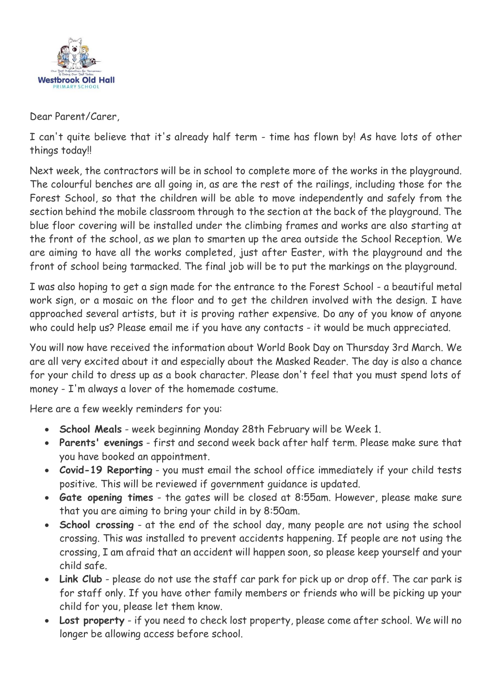

Dear Parent/Carer,

I can't quite believe that it's already half term - time has flown by! As have lots of other things today!!

Next week, the contractors will be in school to complete more of the works in the playground. The colourful benches are all going in, as are the rest of the railings, including those for the Forest School, so that the children will be able to move independently and safely from the section behind the mobile classroom through to the section at the back of the playground. The blue floor covering will be installed under the climbing frames and works are also starting at the front of the school, as we plan to smarten up the area outside the School Reception. We are aiming to have all the works completed, just after Easter, with the playground and the front of school being tarmacked. The final job will be to put the markings on the playground.

I was also hoping to get a sign made for the entrance to the Forest School - a beautiful metal work sign, or a mosaic on the floor and to get the children involved with the design. I have approached several artists, but it is proving rather expensive. Do any of you know of anyone who could help us? Please email me if you have any contacts - it would be much appreciated.

You will now have received the information about World Book Day on Thursday 3rd March. We are all very excited about it and especially about the Masked Reader. The day is also a chance for your child to dress up as a book character. Please don't feel that you must spend lots of money - I'm always a lover of the homemade costume.

Here are a few weekly reminders for you:

- **School Meals** week beginning Monday 28th February will be Week 1.
- **Parents' evenings** first and second week back after half term. Please make sure that you have booked an appointment.
- **Covid-19 Reporting** you must email the school office immediately if your child tests positive. This will be reviewed if government guidance is updated.
- **Gate opening times** the gates will be closed at 8:55am. However, please make sure that you are aiming to bring your child in by 8:50am.
- **School crossing** at the end of the school day, many people are not using the school crossing. This was installed to prevent accidents happening. If people are not using the crossing, I am afraid that an accident will happen soon, so please keep yourself and your child safe.
- **Link Club** please do not use the staff car park for pick up or drop off. The car park is for staff only. If you have other family members or friends who will be picking up your child for you, please let them know.
- **Lost property** if you need to check lost property, please come after school. We will no longer be allowing access before school.